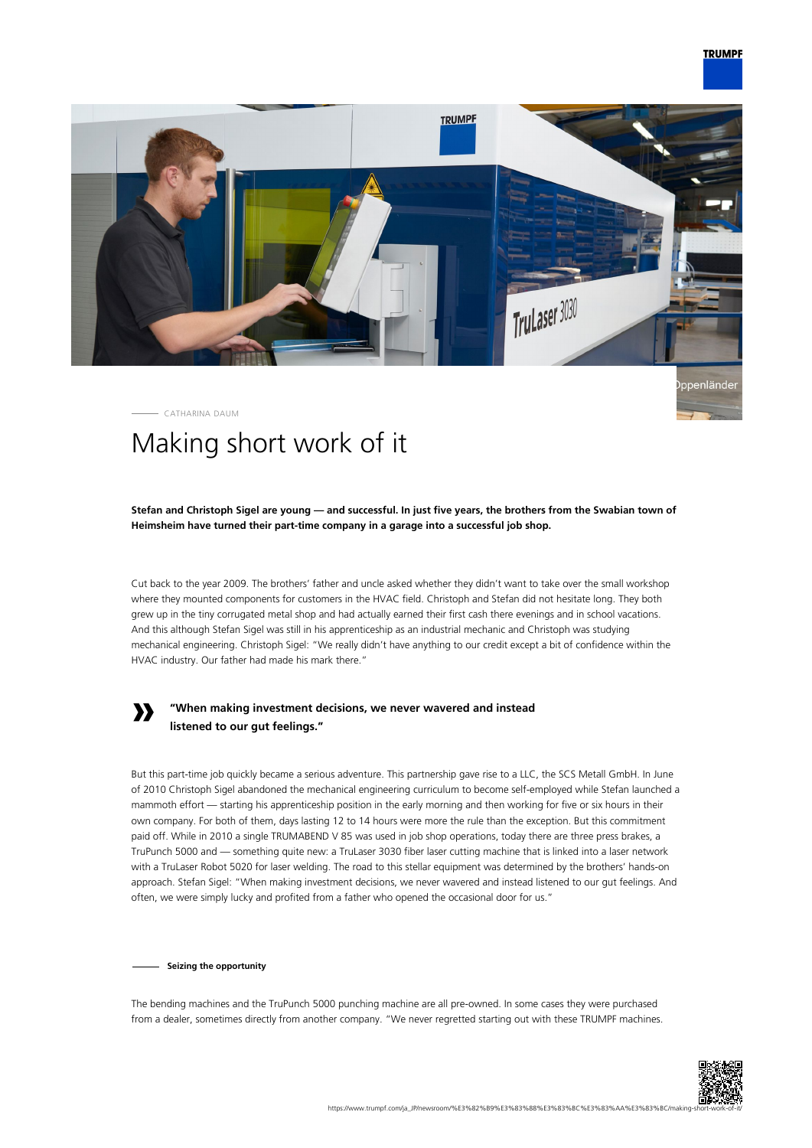



CATHARINA DAUM

# Making short work of it

**Stefan and Christoph Sigel are young — and successful. In just five years, the brothers from the Swabian town of Heimsheim have turned their part-time company in a garage into a successful job shop.**

Cut back to the year 2009. The brothers' father and uncle asked whether they didn't want to take over the small workshop where they mounted components for customers in the HVAC field. Christoph and Stefan did not hesitate long. They both grew up in the tiny corrugated metal shop and had actually earned their first cash there evenings and in school vacations. And this although Stefan Sigel was still in his apprenticeship as an industrial mechanic and Christoph was studying mechanical engineering. Christoph Sigel: "We really didn't have anything to our credit except a bit of confidence within the HVAC industry. Our father had made his mark there."

## **»**

### **"When making investment decisions, we never wavered and instead listened to our gut feelings."**

But this part-time job quickly became a serious adventure. This partnership gave rise to a LLC, the SCS Metall GmbH. In June of 2010 Christoph Sigel abandoned the mechanical engineering curriculum to become self-employed while Stefan launched a mammoth effort — starting his apprenticeship position in the early morning and then working for five or six hours in their own company. For both of them, days lasting 12 to 14 hours were more the rule than the exception. But this commitment paid off. While in 2010 a single TRUMABEND V 85 was used in job shop operations, today there are three press brakes, a TruPunch 5000 and — something quite new: a TruLaser 3030 fiber laser cutting machine that is linked into a laser network with a TruLaser Robot 5020 for laser welding. The road to this stellar equipment was determined by the brothers' hands-on approach. Stefan Sigel: "When making investment decisions, we never wavered and instead listened to our gut feelings. And often, we were simply lucky and profited from a father who opened the occasional door for us."

**Seizing the opportunity**

The bending machines and the TruPunch 5000 punching machine are all pre-owned. In some cases they were purchased from a dealer, sometimes directly from another company. "We never regretted starting out with these TRUMPF machines.

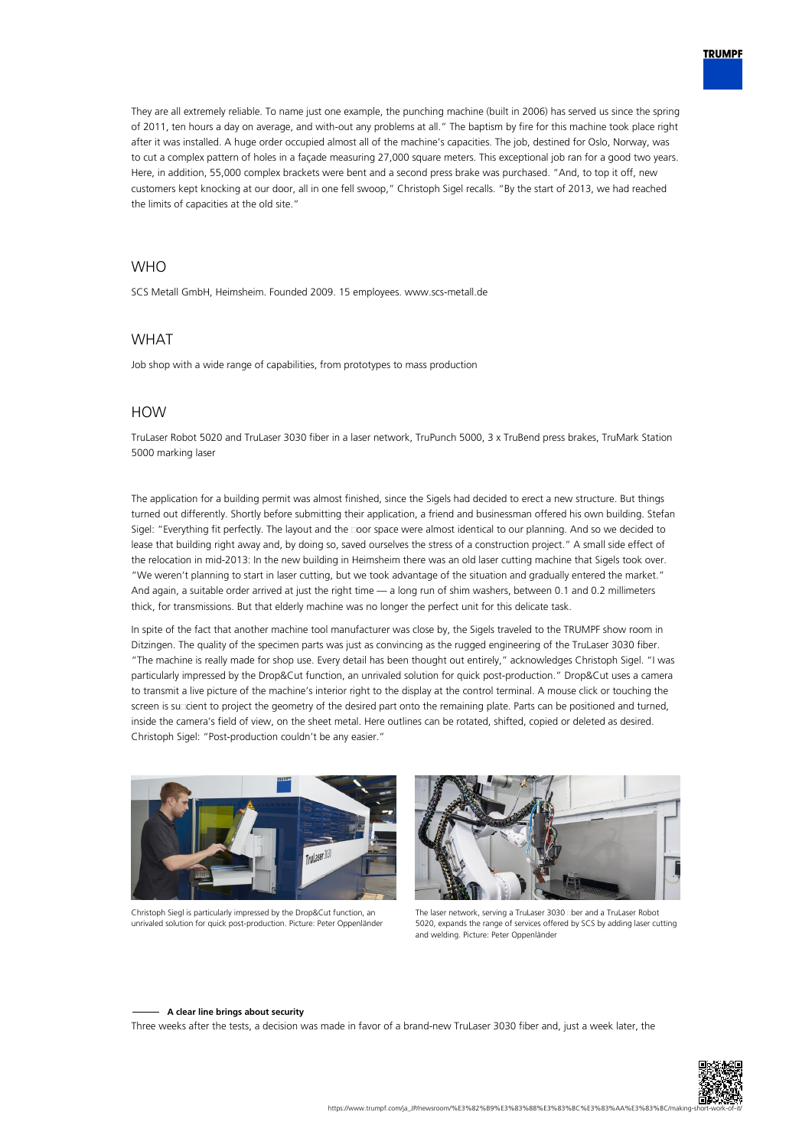

They are all extremely reliable. To name just one example, the punching machine (built in 2006) has served us since the spring of 2011, ten hours a day on average, and with-out any problems at all." The baptism by fire for this machine took place right after it was installed. A huge order occupied almost all of the machine's capacities. The job, destined for Oslo, Norway, was to cut a complex pattern of holes in a façade measuring 27,000 square meters. This exceptional job ran for a good two years. Here, in addition, 55,000 complex brackets were bent and a second press brake was purchased. "And, to top it off, new customers kept knocking at our door, all in one fell swoop," Christoph Sigel recalls. "By the start of 2013, we had reached the limits of capacities at the old site."

#### **WHO**

SCS Metall GmbH, Heimsheim. Founded 2009. 15 employees. www.scs-metall.de

#### WHAT

Job shop with a wide range of capabilities, from prototypes to mass production

#### HOW

TruLaser Robot 5020 and TruLaser 3030 fiber in a laser network, TruPunch 5000, 3 x TruBend press brakes, TruMark Station 5000 marking laser

The application for a building permit was almost finished, since the Sigels had decided to erect a new structure. But things turned out differently. Shortly before submitting their application, a friend and businessman offered his own building. Stefan Sigel: "Everything fit perfectly. The layout and the coor space were almost identical to our planning. And so we decided to lease that building right away and, by doing so, saved ourselves the stress of a construction project." A small side effect of the relocation in mid-2013: In the new building in Heimsheim there was an old laser cutting machine that Sigels took over. "We weren't planning to start in laser cutting, but we took advantage of the situation and gradually entered the market." And again, a suitable order arrived at just the right time — a long run of shim washers, between 0.1 and 0.2 millimeters thick, for transmissions. But that elderly machine was no longer the perfect unit for this delicate task.

In spite of the fact that another machine tool manufacturer was close by, the Sigels traveled to the TRUMPF show room in Ditzingen. The quality of the specimen parts was just as convincing as the rugged engineering of the TruLaser 3030 fiber. "The machine is really made for shop use. Every detail has been thought out entirely," acknowledges Christoph Sigel. "I was particularly impressed by the Drop&Cut function, an unrivaled solution for quick post-production." Drop&Cut uses a camera to transmit a live picture of the machine's interior right to the display at the control terminal. A mouse click or touching the screen is succient to project the geometry of the desired part onto the remaining plate. Parts can be positioned and turned, inside the camera's field of view, on the sheet metal. Here outlines can be rotated, shifted, copied or deleted as desired. Christoph Sigel: "Post-production couldn't be any easier."



Christoph Siegl is particularly impressed by the Drop&Cut function, an unrivaled solution for quick post-production. Picture: Peter Oppenländer



The laser network, serving a TruLaser 3030 cber and a TruLaser Robot 5020, expands the range of services offered by SCS by adding laser cutting and welding. Picture: Peter Oppenländer

#### **A clear line brings about security**

Three weeks after the tests, a decision was made in favor of a brand-new TruLaser 3030 fiber and, just a week later, the